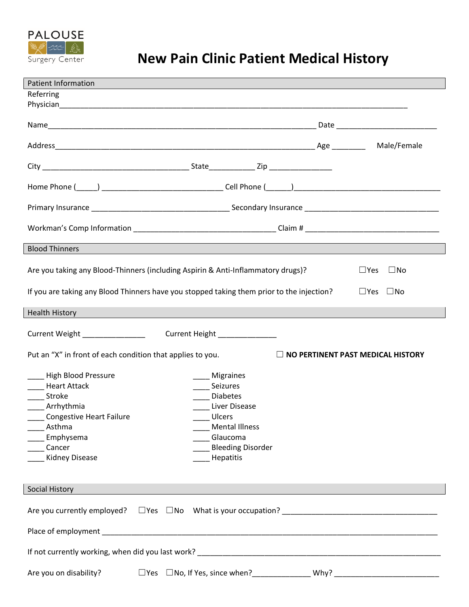

## **New Pain Clinic Patient Medical History**

| <b>Patient Information</b><br>Referring                                                                                                               |                                                                                                                                                          |  |                                  |  |  |  |  |
|-------------------------------------------------------------------------------------------------------------------------------------------------------|----------------------------------------------------------------------------------------------------------------------------------------------------------|--|----------------------------------|--|--|--|--|
|                                                                                                                                                       |                                                                                                                                                          |  |                                  |  |  |  |  |
|                                                                                                                                                       |                                                                                                                                                          |  | Date ___________________________ |  |  |  |  |
|                                                                                                                                                       |                                                                                                                                                          |  | Male/Female                      |  |  |  |  |
|                                                                                                                                                       |                                                                                                                                                          |  |                                  |  |  |  |  |
|                                                                                                                                                       |                                                                                                                                                          |  |                                  |  |  |  |  |
|                                                                                                                                                       |                                                                                                                                                          |  |                                  |  |  |  |  |
|                                                                                                                                                       |                                                                                                                                                          |  |                                  |  |  |  |  |
| <b>Blood Thinners</b>                                                                                                                                 |                                                                                                                                                          |  |                                  |  |  |  |  |
| Are you taking any Blood-Thinners (including Aspirin & Anti-Inflammatory drugs)?                                                                      |                                                                                                                                                          |  | $\square$ No<br>$\Box$ Yes       |  |  |  |  |
| If you are taking any Blood Thinners have you stopped taking them prior to the injection?<br>$\square$ Yes $\square$ No                               |                                                                                                                                                          |  |                                  |  |  |  |  |
| <b>Health History</b>                                                                                                                                 |                                                                                                                                                          |  |                                  |  |  |  |  |
| Current Weight Management Current Weight                                                                                                              | Current Height ________________                                                                                                                          |  |                                  |  |  |  |  |
| Put an "X" in front of each condition that applies to you.<br>$\Box$ NO PERTINENT PAST MEDICAL HISTORY                                                |                                                                                                                                                          |  |                                  |  |  |  |  |
| High Blood Pressure<br>Heart Attack<br>___ Stroke<br>Arrhythmia<br>Congestive Heart Failure<br>Asthma<br>Emphysema<br>Cancer<br><b>Kidney Disease</b> | Migraines<br>Seizures<br><b>Diabetes</b><br>Liver Disease<br><b>Ulcers</b><br><b>Mental Illness</b><br>Glaucoma<br><b>Bleeding Disorder</b><br>Hepatitis |  |                                  |  |  |  |  |
| Social History                                                                                                                                        |                                                                                                                                                          |  |                                  |  |  |  |  |
|                                                                                                                                                       |                                                                                                                                                          |  |                                  |  |  |  |  |
|                                                                                                                                                       |                                                                                                                                                          |  |                                  |  |  |  |  |
|                                                                                                                                                       |                                                                                                                                                          |  |                                  |  |  |  |  |
| Are you on disability?                                                                                                                                | □Yes □No, If Yes, since when?_________________ Why? ___________________________                                                                          |  |                                  |  |  |  |  |